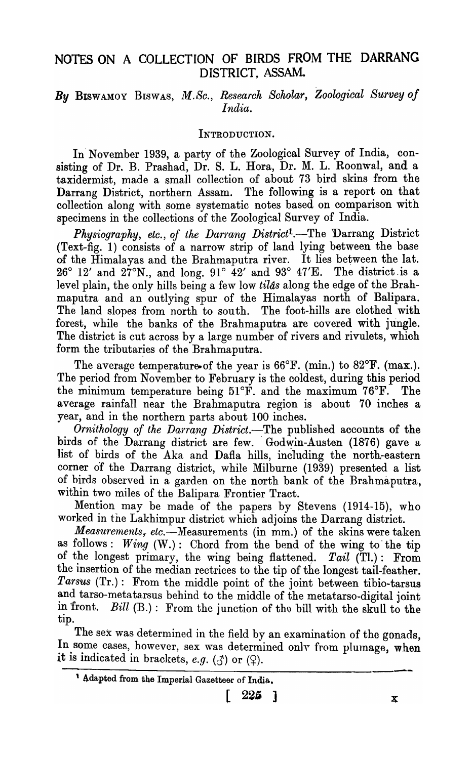# NOTES ON A COLLECTION OF BIRDS FROM THE DARRANG DISTRICT, ASSAM.

# *By* BISWAMOY BISWAS, *M.So., Research Scholar, Zoological Survey of India.*

#### INTRODUCTION.

In' November 1939, a party of the Zoological Survey of India, consisting of Dr. B. Prashad, Dr. S. L. Hora, Dr. M. L. Roonwal, and a taxidermist, made a small collection of about 73 bird skins from the Darrang District, northern Assam. The following is a report on that collection along with some systematic notes based on comparison with specimens in the collections of the Zoological Survey of India.

*Physiography, etc., of the Darrang District1.-The* Darrang District (Text-fig. 1) consists of a narrow strip of land lying between the base of the Himalayas and the Brahmaputra river. It lies between the lat.  $26^{\circ}$  12' and  $27^{\circ}$ N., and long.  $91^{\circ}$   $42'$  and  $93^{\circ}$   $47'E$ . The district is a level plain, the only hills being a few low *tilds* along the edge of the Brahmaputra and an outlying spur of the Himalayas north of Balipara. The land slopes from north to south. The foot-hills are clothed with forest, while the banks of the Brahmaputra are covered with jungle. The district is cut across by a large number of rivers and rivulets, which form the tributaries of the Brahmaputra.

The average temperature of the year is 66°F. (min.) to 82°F. (max.). The period from November to February is the coldest, during this period the minimum temperature being 51°F. and the maximum 76°F. The average rainfall near the Brahmaputra region is about 70 inches a year, and in the northern parts about 100 inches.

*Ornithology of the Darrang District.*-The published accounts of the birds of the Darrang district are few. Godwin-Austen (1876) gave a list of birds of the Aka and Dafla hills, including the north-eastern corner of the Darrang district, while Milburne (1939) presented a list of birds observed in a garden on the north bank of the Brahmaputra, within two miles of the Balipara Frontier Tract.

Mention may be made of the papers by Stevens (1914-15), who worked in the Lakhimpur district which adjoins the Darrang district.

*Measurements, etc.*—Measurements (in mm.) of the skins were taken as follows : *Wing* (W.): Chord from the bend of the wing to' the tip of the longest primary, the wing being flattened. *Tail* (Tl.): From the insertion of the median rectrices to the tip of the longest tail-feather. *Tarsus* (Tr.): From the middle point of the joint between tibio-tarsus and tarso-metatarsus behind to the middle of the metatarso-digital joint in front. Bill  $(B.)$ : From the junction of the bill with the skull to the tip.

The sex was determined in the field by an examination of the gonads, In some cases, however, sex was determined only from plumage, when it is indicated in brackets, *e.g.*  $(\mathcal{J})$  or  $(\mathcal{Q})$ .

$$
\left[\begin{array}{cc}225\end{array}\right]
$$

<sup>&</sup>lt;sup>1</sup> Adapted from the Imperial Gazetteer of India.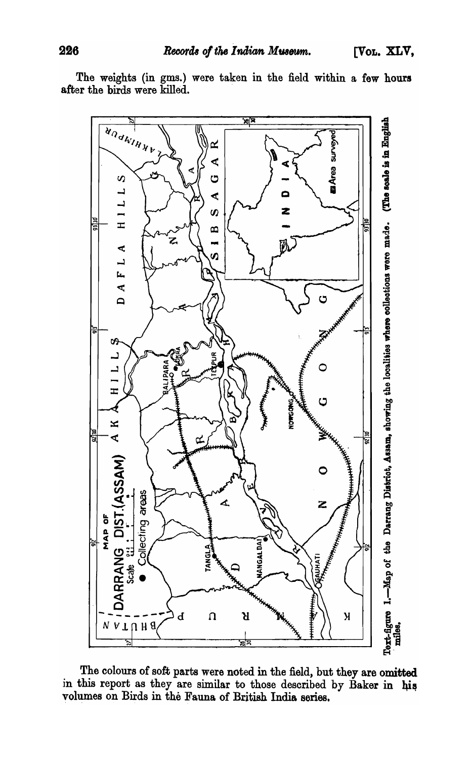The weights (in gms.) were taken in the field within a few hours after the birds were killed.



The colours of soft parts were noted in the field, but they are omitted in this report as they are similar to those described by Baker in his volumes on Birds in the Fauna of British India series.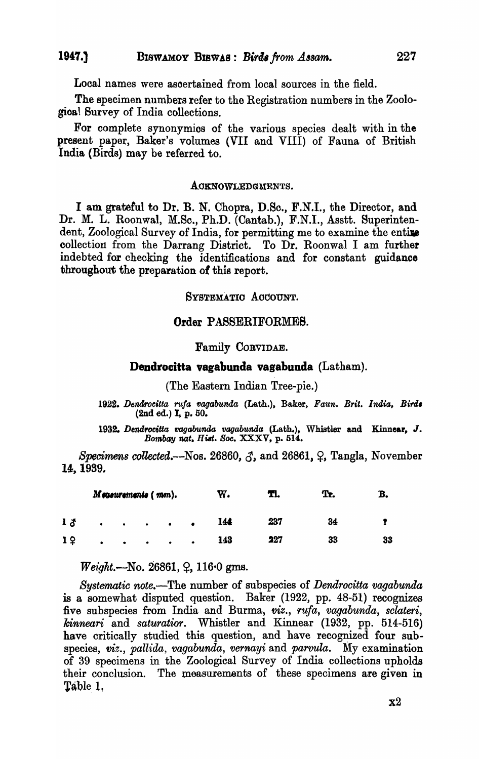Local names were asoertained from local sources in the field.

The specimen numbers refer to the Registration numbers in the Zoologioa! Survey of India collections.

For complete synonymios of the various species dealt with in the present paper, Baker's volumes (VII and VIII) of Fauna of British India (Birds) may be referred to.

#### AOKNOWLEDGMENTS.

I am. grateful to Dr. B. N. Chopra, D.So., F.N.I., the Director, and Dr. M. L. Roonwal, M.Sc., Ph.D. (Cantab.), F.N.I., Asstt. Superintendent, Zoological Survey of India, for permitting me to examine the entire collection from the Darrang District. To Dr. Roonwal I am further indebted for checking the identifications and for constant guidance throughout the preparation of this report.

#### SYSTEMATIO AOOOUNT.

#### Order PASSERIFORMES.

#### Family COBVIDAE.

### Dendrocitta vagabunda vagabunda (Latham).

(The Eastern Indian Tree-pie.)

1922. Dendrocitta rufa vagabunda (Lath.), Baker, Faun. Brit. India, Birds  $(2nd ed.)$  I, p. 50.

1932. Dendrocitta vagabunda vagabunda (Lath.), Whistler and Kinnear, J. *Bombay nat. Hist. Soc.* XXXV, p. 514.

*Specimens collected.*- $-N$ os. 26860,  $\delta$ , and 26861,  $\varphi$ , Tangla, November 14, 1939.

| Measurements (mm). |           |                                         |           |           |                          | w.  | TI. | Tr. |    |
|--------------------|-----------|-----------------------------------------|-----------|-----------|--------------------------|-----|-----|-----|----|
| 1 る                |           | $\bullet$ $\bullet$ $\bullet$ $\bullet$ |           |           | $\bullet \qquad \bullet$ | 144 | 237 | 34  |    |
| 19                 | $\bullet$ | $\bullet$ . The set of $\bullet$        | $\bullet$ | $\bullet$ | $\bullet$                | 143 | 227 | 33  | 33 |

*Weight.*—No. 26861,  $\varphi$ , 116.0 gms.

*Systematic note.-The* number of subspecies of *Dendrocitta vagabunda*  is a somewhat disputed question. Baker (1922, pp. 48-51) recognizes five subspecies from India and Burma, *viz., Tufa, vagabunda, sclateri, kinneari* and *saturatior.* Whistler and Kinnear (1932, pp. 514-516) have critically studied this question, and have recognized four subspecies, *viz., pallida, vagabunda, vernayi* and *parvula.* My examination of 39 specimens in the Zoological Survey of India collections upholds their conclusion. The measuremants of these specimens are given in Table 1.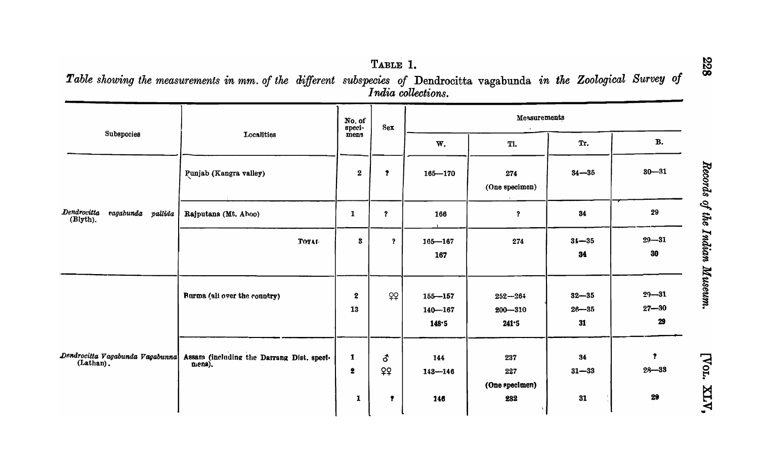Table showing the measurements in mm. of the different subspecies of Dendrocitta vagabunda in the Zoological Survey of<br>—

|                                              |                                                     | No. of<br>speci-<br>mens     | Sex                       | Measurements                        |                                     |                              |                              |  |
|----------------------------------------------|-----------------------------------------------------|------------------------------|---------------------------|-------------------------------------|-------------------------------------|------------------------------|------------------------------|--|
| Subspocies                                   | Localities                                          |                              |                           | W.                                  | Tl.                                 | Tr.                          | <b>B.</b>                    |  |
|                                              | Punjab (Kangra valley)                              | $\boldsymbol{2}$             | $\mathbf{r}$              | $165 - 170$                         | 274<br>(One specimen)               | $34 - 35$                    | $30 - 31$                    |  |
| Dendrocitta<br>ragahunda pallida<br>(Blyth). | Rajputana (Mt. Aboo)                                | $\mathbf{1}$                 | $\boldsymbol{\mathsf{P}}$ | 166                                 | $\boldsymbol{\mathsf{?}}$           | 34                           | 29                           |  |
|                                              | <b>Тотаг</b>                                        | 3                            | $\mathbf{P}$              | $165 - 167$<br>167                  | 274                                 | $34 - 35$<br>34              | $29 - 31$<br>30              |  |
|                                              | Burma (all over the country)                        | $\boldsymbol{2}$<br>13       | 99                        | $155 - 157$<br>$140 - 167$<br>148.5 | $252 - 264$<br>$200 - 310$<br>241.5 | $32 - 35$<br>$26 - 35$<br>31 | $29 - 31$<br>$27 - 30$<br>29 |  |
| Dendrocitta Vagabunda Vagabunna<br>(Lathan). | Assam (including the Darrang Dist. speci-<br>mena). | 1<br>$\overline{\mathbf{z}}$ | ්<br>99                   | 144<br>$143 - 146$                  | 237<br>227<br>(One specimen)        | 34<br>$31 - 33$              | $\bullet$<br>$28 - 33$<br>29 |  |
|                                              |                                                     | 1                            | Ť                         | 146                                 | 282                                 |                              | 31                           |  |

[Vor. XLV,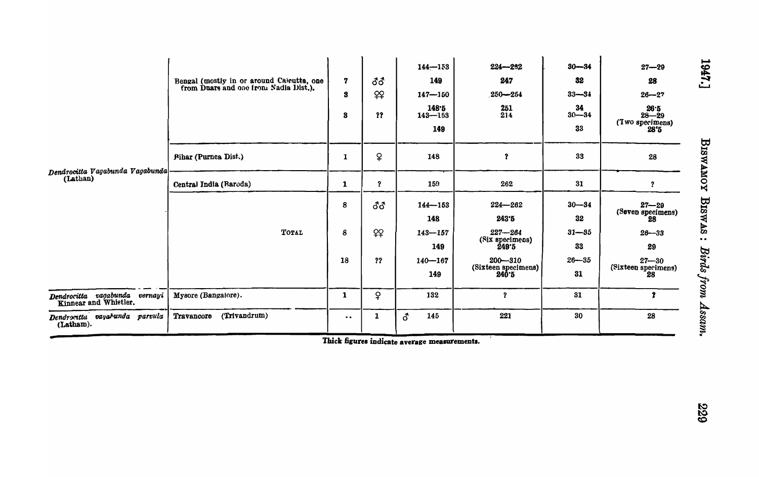|                                                        | Bengal (mostly in or around Calcutta, one from Duars and one from Nadia Dist.). | $\overline{\mathbf{z}}$<br>3<br>8 | ර්ර<br>99<br>?? | $144 - 153$<br>149<br>$147 - 150$<br>148.5<br>$143 - 153$<br>149 | $224 - 292$<br>247<br>$250 - 254$<br>251<br>214 | $30 - 34$<br>32<br>$33 - 34$<br>34<br>$30 - 34$<br>33 | $27 - 29$<br>28<br>$26 - 27$<br>26.5<br>$28 - 29$<br>$(Tw0$ specimens)<br>$28'5$ |
|--------------------------------------------------------|---------------------------------------------------------------------------------|-----------------------------------|-----------------|------------------------------------------------------------------|-------------------------------------------------|-------------------------------------------------------|----------------------------------------------------------------------------------|
|                                                        | <b>Pihar (Purnea Dist.)</b>                                                     | 1                                 | $\overline{P}$  | 148                                                              | $\mathbf 7$                                     | 33                                                    | 28                                                                               |
| Dendrocitta Vagabunda Vagabunda<br>(Lathan)            | Central India (Raroda)                                                          | 1                                 | $\mathbf{r}$    | 159                                                              | 262                                             | 31                                                    | $\overline{?}$                                                                   |
|                                                        |                                                                                 | 8                                 | ර්ර             | $144 - 153$<br>148                                               | $224 - 262$<br>243.5                            | $30 - 34$<br>32                                       | $27 - 29$<br>(Seven specimens)<br>28                                             |
|                                                        | TOTAL                                                                           | 8                                 | 99              | $143 - 157$<br>149                                               | $227 - 264$<br>(Six specimens)<br>249°5         | $31 - 35$<br>33                                       | $26 - 33$<br>29                                                                  |
|                                                        |                                                                                 | 18                                | ??              | $140 - 167$<br>149                                               | $200 - 310$<br>(Sixteen specimens)<br>240.5     | $26 - 35$<br>31                                       | $27 - 30$<br>(Sixteen specimens)<br>28                                           |
| Dendrocitta vagabunda vernayi<br>Kinnear and Whistler. | Mysore (Bangalore).                                                             | 1                                 | ¥               | 132                                                              | $\boldsymbol{\mathsf{?}}$                       | 31                                                    |                                                                                  |
| Dendrocatta vayahunda parvula<br>(Latham).             | (Trivandrum)<br>Travancore                                                      | $\ddot{\phantom{a}}$              | 1               | <b>ි</b><br>145                                                  | 221                                             | 30                                                    | 28                                                                               |

Thick figures indicate average measurements.

1947.]

839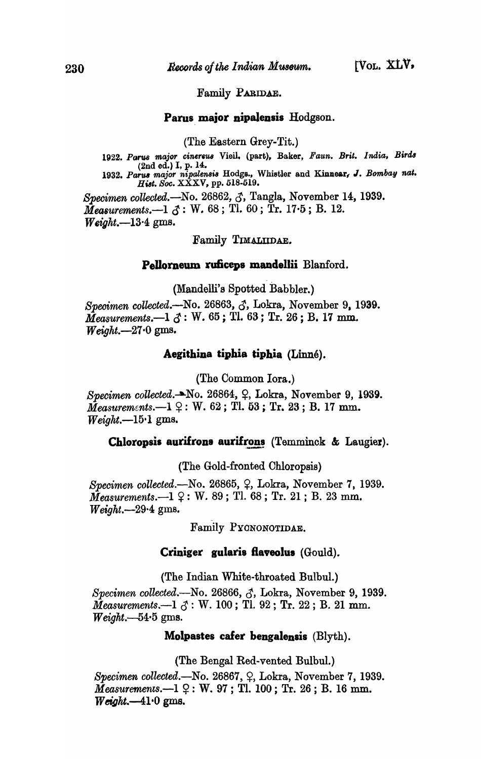Family PARIDAE.

Parus major nipalensis Hodgson.

(The Eastern Grey-Tit.)

1922. Parus major cinereus Vieil. (part), Baker, *Faun. Brit. India*, *Birds* (2nd ed.) I, p. 14. (2nd ed.) I, p. 14.<br>1932. *Parus major nipalensis* Hodgs., Whistler and Kinnear, J. *Bombay nat. Hilt. Soc.* XXXV, pp. 518-519. *Specimen collected.-No.* 26862, *c1,* Tangla, November 14, 1939.

 $\tilde{Meas}$  *Measurements.*—1  $\tilde{\beta}$ : W. 68; Tl. 60; Tr. 17.5; B. 12. *Weigkt.-13·4* gms.

Family TWALIIDAE.

#### Pellorneum ruficeps mandellii Blanford.

(Mandelli's Spotted Babbler.)

*Specimen collected.*—No. 26863,  $\zeta$ , Lokra, November 9, 1939.  $\bar{M}$ easurements.—1  $\bar{c}$ : W. 65; Tl. 63; Tr. 26; B. 17 mm. *Weight.-27·0* gms.

# Aegithina tiphia tiphia *(Linné)*.

(The Common lora.)

*Specimen collected.* No. 26864,  $\varphi$ , Lokra, November 9, 1939.  $Measurements. -1 \nsubseteq: W. 62;$  Tl. 53; Tr. 23; B. 17 mm. *Weight.-15·1* gms.

# **Chloropsis aurifrons aurifrons** (Temminck & Laugier).

(The Gold-fronted Chloropsia)

*Specimen collected.*—No. 26865,  $\varphi$ , Lokra, November 7, 1939.  $\bar{M}$ easurements.—1  $\Omega$ : W. 89; Tl. 68; Tr. 21; B. 23 mm. *Weight.-29·4* gms.

Family PYONONOTIDAE.

# **Criniger gularis flaveolus (Gould).**

(The Indian White-throated Bulbul.)

*Specimen collected.*—No. 26866,  $\zeta$ , Lokra, November 9, 1939. *Measurements.*--1  $\delta$ : W. 100; Tl. 92; Tr. 22; B. 21 mm. *Weight.--54·5* gms.

### **Molpastes cafer bengalensis** (Blyth).

(The Bengal Red-vented Bulbul.)

*Specimen collected.*—No. 26867,  $\varphi$ , Lokra, November 7, 1939.  $Measurements. -1$   $9:$  W. 97; Tl. 100; Tr. 26; B. 16 mm.  $Weight. -41.0$  gms.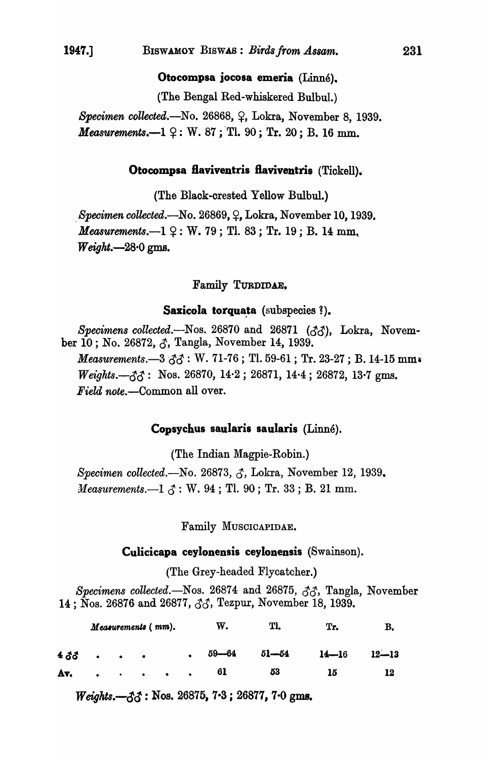Otocompsa jocosa emeria (Linné).

(The Bengal Red-whiskered Bulbul.)

*Specimen collected.*—No. 26868,  $\varphi$ , Lokra, November 8, 1939. *Measurements.* $-1$   $9$ : W. 87; Tl. 90; Tr. 20; B. 16 mm.

## Otocompsa flaviventris flaviventris (Tickell).

(The Black-crested Yellow Bulbul.)

*Specimen collected.*—No. 26869,  $\varphi$ , Lokra, November 10, 1939. *Measurements.* $-1 \nsubseteq : W. 79$ ; Tl. 83; Tr. 19; B. 14 mm, *Weight.-28·0* gms.

## Family TURDIDAE.

# Saxicola torquata (subspecies ?).

*Specimens collected.*—Nos. 26870 and 26871 (33), Lokra, November 10 ; No. 26872, J, Tangla, November 14, 1939. *Measurements.*—3  $\partial \partial$ : W. 71-76; Tl. 59-61; Tr. 23-27; B. 14-15 mm.  $Weights. -33$ : Nos. 26870, 14·2; 26871, 14·4; 26872, 13·7 gms. *Field note.-Common* all over.

#### Copsyehus saularis saularis (Linne).

(The Indian Magpie-Robin.)

*Specimen collected.*—No. 26873, *Z*, Lokra, November 12, 1939. *Measurements.*-1  $\delta$ : W. 94; Tl. 90; Tr. 33; B. 21 mm.

Family MUSCICAPIDAE.

#### Culieieapa eeylonensis eeylonensis (Swainson).

(The Grey-headed Flycatcher.)

*Specimens collected.*-Nos.  $26874$  and  $26875$ ,  $\partial \partial$ , Tangla, November 14; Nos. 26876 and 26877,  $\zeta\zeta$ , Tezpur, November 18, 1939.

| Measurements (mm). |  |  |  |  |  | w.       | Tl. | Tr.                 |           |
|--------------------|--|--|--|--|--|----------|-----|---------------------|-----------|
| $4\delta\delta$    |  |  |  |  |  | 59—64    |     | $51 - 54$ $14 - 16$ | $12 - 13$ |
|                    |  |  |  |  |  | $A_v$ 61 | 53  | 15                  | 12        |

 $Weights. -33 : Nos. 26875, 7.3 ; 26877, 7.0 gms.$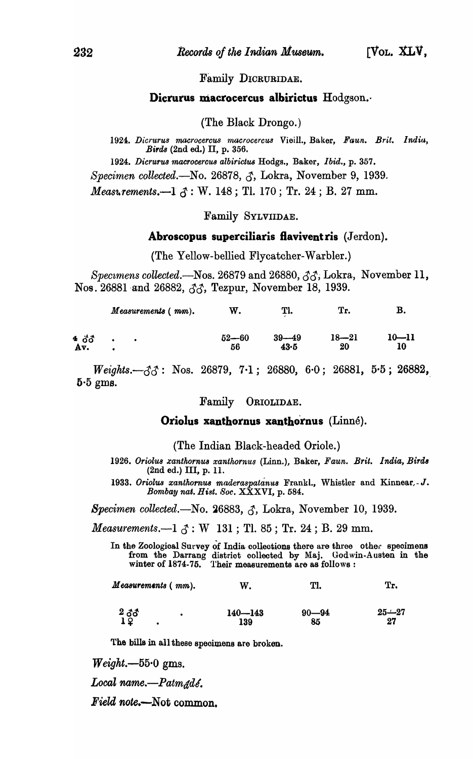#### Family DICRURIDAE.

# Dicrurus macrocercus albirictus Hodgson.

#### (The Black Drongo.)

1924. Dicrurus macrocercus macrocercus Vieill., Baker, Faun. Brit. India, *Birds* (2nd ed.) II, p. 356.

*1924. Dicrurus '1nacrocercUB albirictus* Hodgs., Baker, *Ibid.,* p. 357.

*Specimen collected.*—No. 26878,  $\zeta$ , Lokra, November 9, 1939.

*Measurements.*—1  $\delta$ : W. 148; Tl. 170; Tr. 24; B. 27 mm.

#### Family SYLVIIDAE.

#### Abroscopus superciliaris flavivent ris  $(Jerdon)$ .

(The Yellow-bellied Flycatcher-Warbler.)

Spec~mens *collected.-Nos.* 26879 and 26880, *CS&"* Lokra, November 11, Nos. 26881 and 26882,  $\partial \mathcal{S}$ , Tezpur, November 18, 1939.

| $10 - 11$<br>10 | $18 - 21$ | $39 - 49$ | $52 - 60$ | 4 ඊඊ |
|-----------------|-----------|-----------|-----------|------|
|                 | 20        | 43.5      | 56        | Av.  |

*Weights.* $-\xi$ <sup>2</sup>; Nos. 26879, 7.1; 26880, 6.0; 26881, 5.5; 26882,  $5.5$  gms.

#### Family ORIOLIDAE.

#### Oriolus xanthornus xanthornus (Linné).

(The Indian Black-headed Oriole.)

1926. Oriolus xanthornus xanthornus (Linn.), Baker, Faun. Brit. India, Birds (2nd ed.) III, p. 11.

1933. Oriolus xanthornus maderaspatanus Frankl., Whistler and Kinnear, - J. *Bombay nal. H iat. 8oc.* XXXVI, p. 584.

*Specimen collected.*—No. 26883,  $\zeta$ , Lokra, November 10, 1939.

*Measurements.* $-1 \, \delta$ : W 131; Tl. 85; Tr. 24; B. 29 mm.

In the Zoological Survey of India collections there are three other specimens from the Darrang district collected by Maj. Godwin-Austen in the winter of 1874-75. Their measurements are as follows:

 $Measurements ( mm).$  W. TI. Tr.

 $\frac{2}{1}$   $\frac{3}{9}$  $90 - 94$ *25..1-27*  140-143 27 139 85

The bills in all these speoimens are broken.

 $Weight. -55.0$  gms.

Local name.-Patm<sub>dde</sub>.

*Field note.*—Not common.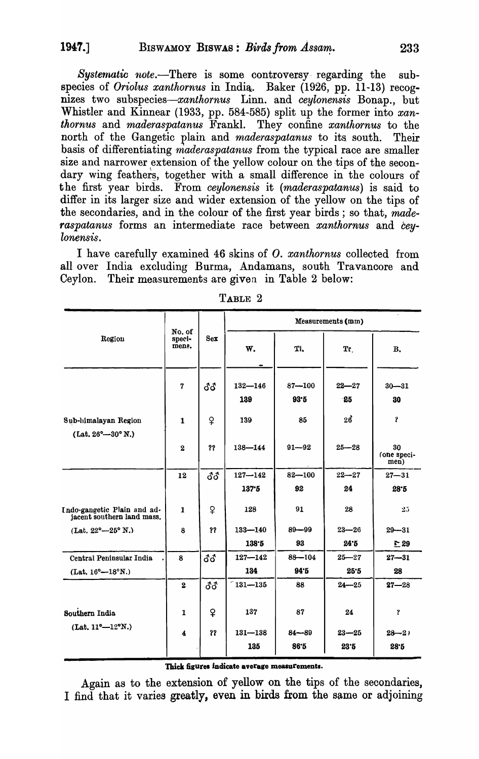*Systernatic note.-There* is some controversy· regarding the subspecies of *Oriolus xanthornus* in India.. Baker (1926, pp. 11-13) recognizes two *subspecies-xanthornus* Linn. and *ceylonensis* Bonap., but Whistler and Kinnear (1933, pp. 584-585) split up the former into *xanthornus* and *maderaspatanus* Frankl. They confine *xanthornus* to the north of the Gangetic plain and *maderaspatanus* to its south. Their basis of differentiating *maderaspatanus* from the typical race are smaller size and narrower extension of the yellow colour on the tips of the secondary wing feathers, together with a small difference in the colours of the first year birds. From *ceylonensis* it *(maderaspatanus)* is said to differ in its larger size and wider extension of the yellow on the tips of the secondaries, and in the colour of the first year birds ; so that, *maderaspatanus* forms an intermediate race between *xanthornus* and *ceylonensis.* 

I have carefully examined 46 skins of O. *xanthornus* collected from all over India excluding Burma, Andamans, south Travancore and Ceylon. Their measurements are given in Table 2 below:

|                                                             |                           |            |                    |                    | Measurements (mm) |                           |
|-------------------------------------------------------------|---------------------------|------------|--------------------|--------------------|-------------------|---------------------------|
| Region                                                      | No. of<br>speci-<br>mene. | Sex        | W.                 | TI.                | Tr                | В.                        |
|                                                             | $\overline{7}$            | ර්ර        | $132 - 146$<br>139 | $87 - 100$<br>93.5 | $22 - 27$<br>-25  | $30 - 31$<br>30           |
| Sub-himalayan Region<br>$(Lat. 26^{\circ} - 30^{\circ} N.)$ | $\mathbf{1}$              | ¥          | 139                | 86                 | 26                | $\mathbf{r}$              |
|                                                             | $\bf{2}$                  | ??         | $138 - 144$        | $91 - 92$          | $25 - 28$         | 30<br>(one speci-<br>men) |
|                                                             | 12                        | <b>33</b>  | $127 - 142$        | $82 - 100$         | $22 - 27$         | $27 - 31$                 |
|                                                             |                           |            | 137.5              | 92                 | 24                | 28.5                      |
| Indo-gangetic Plain and ad-<br>jacent southern land mass.   | $\mathbf{1}$              | ¥          | 128                | 91                 | 28                | 25                        |
| $(Lat. 22^{\circ}-25^{\circ} N.)$                           | 8                         | 22         | $133 - 140$        | $89 - 99$          | $23 - 26$         | $29 - 31$                 |
|                                                             |                           |            | 138.5              | 93                 | 24.5              | $\Gamma$ 29               |
| Central Peninsular India                                    | 8                         | <b>ී</b> ර | $127 - 142$        | $88 - 104$         | $25 - 27$         | $27 - 31$                 |
| $(Lat. 16^{\circ}-18^{\circ}N.)$                            |                           |            | 134                | 94.5               | 25.5              | 28                        |
|                                                             | $\mathbf{2}$              | 8З         | $131 - 135$        | 88                 | $24 - 25$         | $27 - 28$                 |
| Southern India                                              | $\mathbf{1}$              | ¥          | 137                | 87                 | 24                | Ÿ                         |
| $(Lat. 11^{\circ}-12^{\circ}N.)$                            | $\boldsymbol{4}$          | 22         | $131 - 138$<br>135 | $84 - 89$<br>86.5  | $23 - 25$<br>23.5 | $28 - 2$<br>28.5          |

TABLE 2

Thick figures indicate average measurements.

Again as to the extension of yellow on the tips of the secondaries, I find that it varies greatly, even in birds from the same or adjoining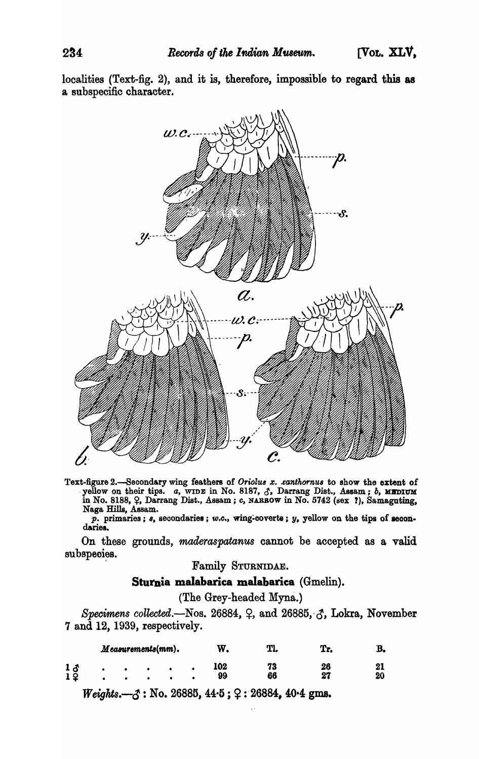localities (Text-fig. 2), and it is, therefore, impossible to regard this as a subspecific character.



Text-figure 2.—Secondary wing feathers of Oriolus x. xanthornus to show the extent of yellow on their tips. a, wing in No. 8187,  $\beta$ , Darrang Dist., Assam; b, MIDIUM in No. 8188,  $\varphi$ , Darrang Dist., Assam; c, NARROW in Naga Hills, Assam.

 $\overline{p}$ . primaries;  $s$ , secondaries; w.c., wing-coverts;  $y$ , yellow on the tips of secondaries.

On these grounds, maderaspatanus cannot be accepted as a valid subspecies.

# Family STURNIDAE.

# Sturnia malabarica malabarica (Gmelin).

(The Grey-headed Myna.)

Specimens collected.—Nos. 26884,  $\varphi$ , and 26885,  $\varphi$ , Lokra, November 7 and 12, 1939, respectively.

|                       | Measurements(mm). |  | W.        | Tl.      | Tr.      | В. |
|-----------------------|-------------------|--|-----------|----------|----------|----|
| 1 ፊ<br>1 <sup>2</sup> | ٠                 |  | 102<br>99 | 73<br>66 | 26<br>27 | 20 |

*Weights.*  $-3$ : No. 26885, 44.5;  $2: 26884$ , 40.4 gms.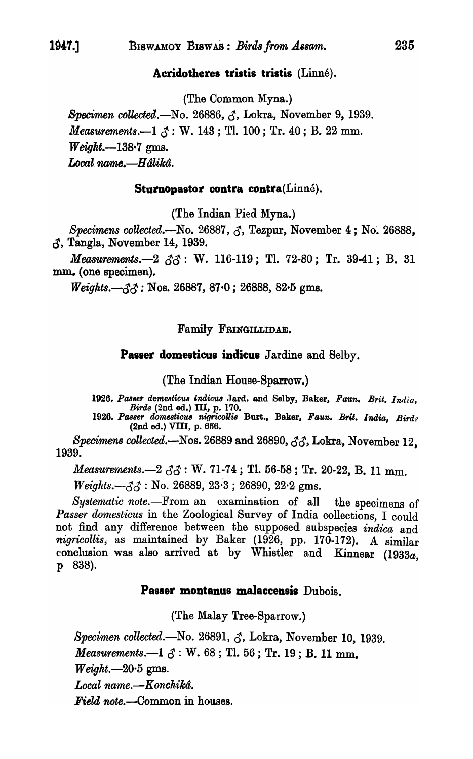# Acridotheres tristis tristis (Linné).

(The Common Myna.)

Specimen collected.—No. 26886,  $\zeta$ , Lokra, November 9, 1939. *Measurements.*—1  $\zeta$ : W. 143; Tl. 100; Tr. 40; B. 22 mm.  $Weight. -138.7$  gms. Local name.—Hâlikâ.

#### Sturnopastor contra contra(Linné).

(The Indian Pied Myna.)

Specimens collected.—No. 26887,  $\zeta$ , Tezpur, November 4; No. 26888,  $\delta$ , Tangla, November 14, 1939.

*Measurements.* -2  $\delta \delta$ : W. 116-119; Tl. 72-80; Tr. 39-41; B. 31 mm. (one specimen).

 $\textit{Weights}.\text{---}33$ : Nos. 26887, 87 $\cdot$ 0; 26888, 82 $\cdot$ 5 gms.

### Family FRINGILLIDAE.

# **Passer domesticus indicus** Jardine and Selby.

(The Indian House-Sparrow.)

1926. Passer demesticus indicus Jard. and Selby, Baker, Faun. Brit. India, Birds (2nd ed.) III, p. 170.

1926. Passer domesticus nigricollis Burt., Baker, Faun. Brit. India, Birds (2nd ed.) VIII, p. 656.

Specimens collected.—Nos. 26889 and 26890,  $\zeta\zeta$ , Lokra, November 12. 1939.

Measurements. -  $2 \, \delta \delta$ : W. 71-74; Tl. 56-58; Tr. 20-22, B. 11 mm.

*Weights.*  $-\xi \zeta$ : No. 26889, 23.3; 26890, 22.2 gms.

Systematic note.---From an examination of all the specimens of Passer domesticus in the Zoological Survey of India collections, I could not find any difference between the supposed subspecies indica and nigricollis, as maintained by Baker (1926, pp. 170-172). A similar conclusion was also arrived at by Whistler and Kinnear (1933a, p 838).

# Passer montanus malaccensis Dubois.

(The Malay Tree-Sparrow.)

Specimen collected.—No. 26891,  $\zeta$ , Lokra, November 10, 1939.

*Measurements.*—1  $\delta$ : W. 68; Tl. 56; Tr. 19; B. 11 mm.

 $Weight. -20.5$  gms.

Local name.—Konchikâ.

**Field note.—Common in houses.** 

235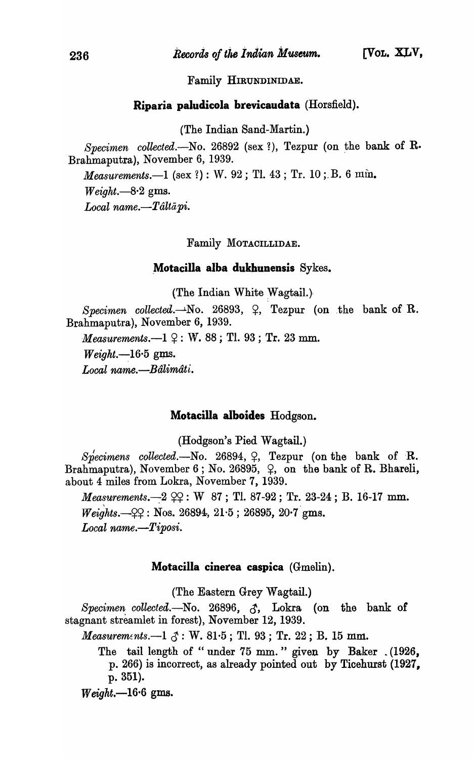Family HIRUNDINIDAE.

# Riparia paludicola brevicaudata (Horsfield).

(The Indian Sand-Martin.)

Specimen collected.-No. 26892 (sex ?), Tezpur (on the bank of R. Brahmaputra), November 6, 1939.

*Measurements.*--1 (sex ?): W. 92; Tl. 43; Tr. 10; B. 6 mm.  $Weight. -8.2$  gms. *Local name.-Taltapi.* 

Family MOTACILLIDAE.

# . Motacilla alba dukhunensis Sykes.

(The Indian White Wagtail.)

*Specimen collected.* $-Mo.$  26893,  $\varphi$ , Tezpur (on the bank of R. Brahmaputra), November 6, 1939.

*Measurements.*—1  $\varphi$ : W. 88; Tl. 93; Tr. 23 mm.

 $Weight. -16.5$  gms.

*Local name.-Balimati.* 

# Motacilla alboides Hodgson.

(Hodgson's Pied Wagtail.)

 $Sp\acute{e}cimens$  *collected.*—No. 26894,  $\varphi$ , Tezpur (on the bank of R. Brahmaputra), November 6; No. 26895,  $\varphi$ , on the bank of R. Bhareli, about 4 miles from Lokra, November 7, 1939.

*Measurements.*-2  $22: W 87$ ; Tl. 87-92; Tr. 23-24; B. 16-17 mm.  $\blacksquare$  $Weights. -Q2 : Nos. 26894, 21.5 ; 26895, 20.7 gms.$ *Local name.-Tiposi.* 

#### Motacilla cinerea caspica (Gmelin).

(The Eastern Grey Wagtail.)

Specimen collected.-No. 26896, 3, Lokra (on the bank of stagnant streamlet in forest), November 12, 1939.

*Measurements.* $-1 \text{ } \mathcal{J} : W. 81.5 ; T1. 93 ; Tr. 22 ; B. 15 mm.$ 

The tail length of "under 75 mm." given by Baker . (1926, p. 266) is incorrect, as already pointed out by Ticehurst (1927, p. 351).

 $Weight. -16.6$  gms.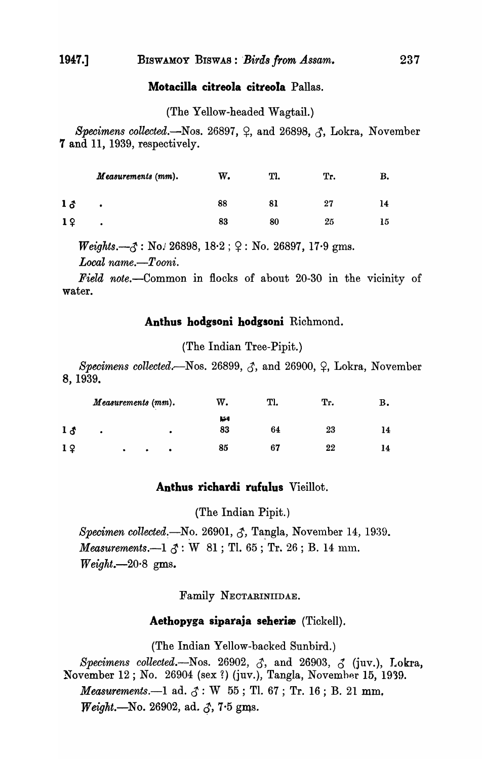# **Motacilla citreola citreola** Pallas.

(The Yellow-headed Wagtail.)

*Specimens collected.*—Nos. 26897,  $\varphi$ , and 26898,  $\varphi$ , Lokra, November **7** and 11, 1939, respectively.

|           | Measurements (mm). | w. | Tl. | Tr. | в. |
|-----------|--------------------|----|-----|-----|----|
| $1\delta$ | $\bullet$          | 88 |     | 27  | 14 |
| 19        | ٠                  | 83 | 80  | 25  | 15 |

 $Weights. -3: No. 26898, 18.2 ; 9: No. 26897, 17.9 gms.$ *Local name.-Tooni.* 

*Field note.-Common* in flocks of about 20-30 in the vicinity of water.

# **Anthus bodgsoni bodgsoni** Richmond.

(The Indian Tree-Pipit.)

Specimens collected.<sup>-</sup>Nos. 26899,  $\zeta$ , and 26900,  $\zeta$ , Lokra, November 8, 1939.

|                | Measurements (mm). |   |  |           | w. | Tl. | Tr. | в. |
|----------------|--------------------|---|--|-----------|----|-----|-----|----|
|                |                    |   |  |           | N  |     |     |    |
| $1\delta$      | ٠                  |   |  | ٠         | 83 | 64  | 23  | 14 |
| 1 <sub>2</sub> |                    | ٠ |  | $\bullet$ | 85 | 67  | 22  |    |

# **Anthus richardi rufulus** Vieillot.

(The Indian Pipit.)

*Specimen collected.*—No. 26901,  $\zeta$ , Tangla, November 14, 1939. *Measurements.* $-1 \, \delta$ : W 81; Tl. 65; Tr. 26; B. 14 mm.  $Weight. -20.8$  gms.

Family NECTARINIIDAE.

# **Aethopyga siparaja seberie** (Tickell).

(The Indian Yellow-backed Sunbird.)

*Specimens collected.*-Nos. 26902,  $\delta$ , and 26903,  $\delta$  (juv.), Lokra, November 12; No. 26904 (sex ?) (juv.), Tangla, November 15, 1939. *Measurements.*—1 ad.  $\delta$ : W 55; Tl. 67; Tr. 16; B. 21 mm, *Weight.*—No. 26902, ad.  $\zeta$ , 7.5 gms.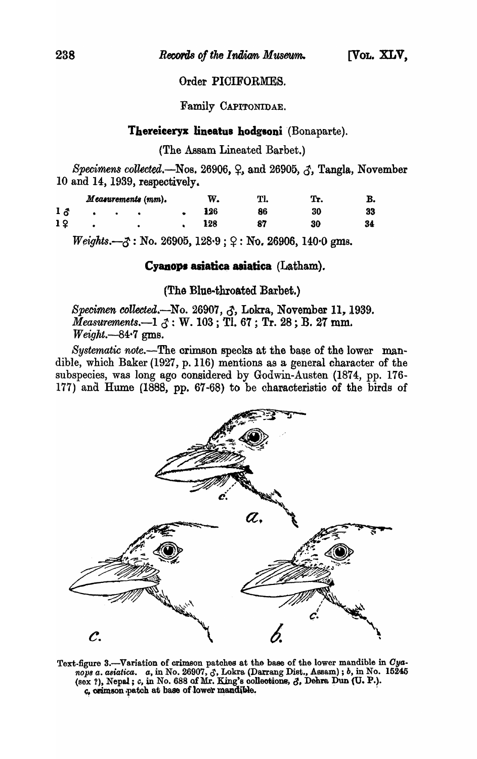## Order PICIFORMES.

Family CAPITONIDAE.

#### Thereiceryx lineatus hodgsoni (Bonaparte).

(The Assam Lineated Barbet.)

Specimens collected. Nos. 26906,  $\varphi$ , and 26905,  $\varphi$ , Tangla, November 10 and 14, 1939, respectively.

|                |  | Measurements (mm). | w. |     | Tl. | Tr. | в. |
|----------------|--|--------------------|----|-----|-----|-----|----|
| $1\delta$      |  |                    |    | 126 | 86  | 30  | 33 |
| 1 <sup>2</sup> |  |                    |    | 128 | 87  | 30  | 34 |

 $Weights. -3$ : No. 26905, 128.9;  $9:$  No. 26906, 140.0 gms.

### Cyanops asiatica asiatica (Latham).

(The Blue-throated Barbet.)

Specimen collected.—No. 26907, J, Lokra, November 11, 1939. Measurements.-1  $\zeta$ : W. 103; TI. 67; Tr. 28; B. 27 mm.  $Weight -84.7$  gms.

Systematic note.—The crimson specks at the base of the lower mandible, which Baker (1927, p. 116) mentions as a general character of the subspecies, was long ago considered by Godwin-Austen (1874, pp. 176-177) and Hume (1888, pp. 67-68) to be characteristic of the birds of



Text-figure 3.—Variation of crimson patches at the base of the lower mandible in Cyanops a. asiatica. a, in No. 26907,  $\zeta$ , Lokra (Darrang Dist., Assam); b, in No. 15245 (sex?), Nepal; c, in No. 688 of Mr. King's collec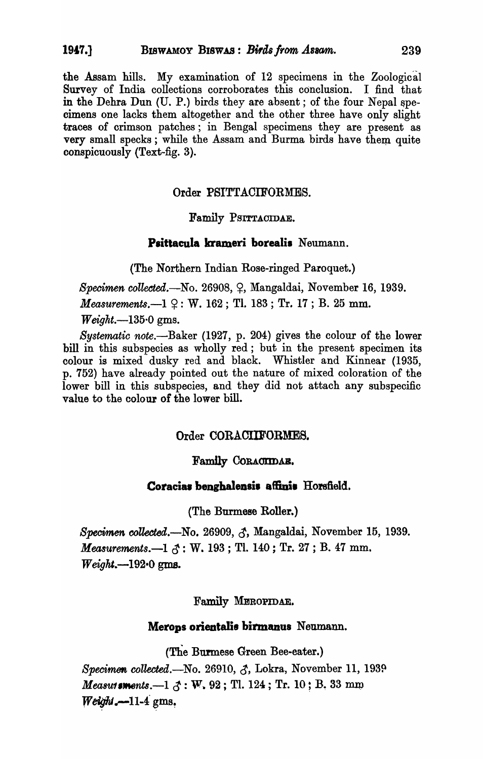the Assam hills. My examination of 12 specimens in the Zoological Survey of India collections corroborates this conclusion. I find that in the Dehra Dun (U. P.) birds they are absent; of the four Nepal speoimens one lacks them altogether and the other three have only slight traces of crimson patches; in Bengal specimens they are present as very small specks; while the Assam and Burma birds have them quite oonspicuously (Text-fig. 3).

# Order PSITTACIFORMES.

# Family PSITTAOIDAE.

# Psittacula krameri borealis Neumann.

(The Northern Indian Rose-ringed Paroquet.)

*Specimen collected.*—No. 26908, Q, Mangaldai, November 16, 1939. *Measurements.* $-1$   $9$ : W. 162; Tl. 183; Tr. 17; B. 25 mm. *Weight.-135·0* gms.

*Systematic note.-Baker* (1927, p. 204) gives the colour of the lower bill in this subspecies as wholly red; but in the present specimen its colour is mixed dusky red and black. Whistler and Kinnear (1935, p. 752) have already pointed out the nature of mixed coloration of the lower bill in this subspecies, and they did not attach any subspecific value to the oolour of the lower hill.

# Order CORACIIFOBMES.

# Family CORACTIDAE.

# Coracias benghalensis affinis Horsfield.

(The Burmese Roller.)

*Specimen collected.*—No. 26909,  $\zeta$ , Mangaldai, November 15, 1939. *Measurements.*—1  $\zeta$ : W. 193; Tl. 140; Tr. 27; B. 47 mm. *Weight.*—192·0 gms.

Family MEROPIDAE.

# Merops orientalis birmanus Neumann.

(The Burmese Green Bee-eater.)

*Specimen collected.*—No. 26910,  $\delta$ , Lokra, November 11, 1939 *Measut* sments.—1  $\zeta : W$ . 92; Tl. 124; Tr. 10; B. 33 mm *Weight.*--11-4 gms.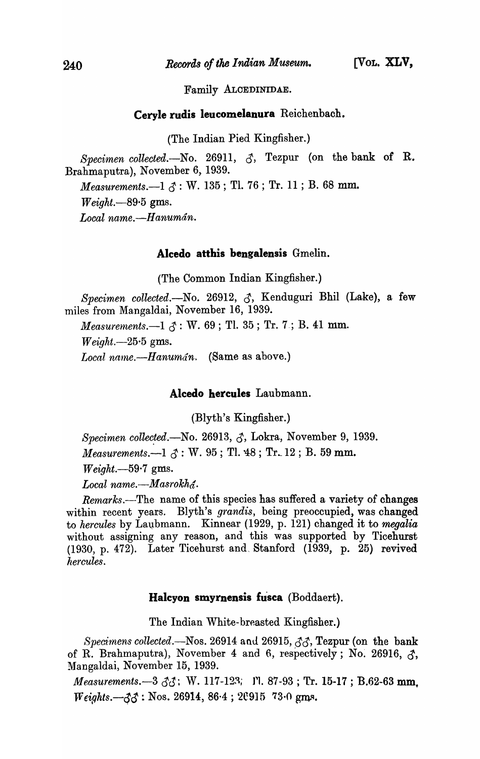Family ALCEDINIDAE.

### Ceryle rudis leucomelanura Reichenbach.

(The Indian Pied Kingfisher.)

*Specimen collected.-No.* 26911, 3, Tezpur (on the bank of R. Brahmaputra), November 6, 1939.

*Measurements.*—1  $\beta$ : W. 135; Tl. 76; Tr. 11; B. 68 mm.

*Weight.*-89.5 gms.

*Local name.-H anuman.* 

#### Alcedo atthis bengalensis Gmelin.

(The Common Indian Kingfisher.)

*Specimen collected.-No.* 26912, 3, Kenduguri Bhil (Lake), a few miles from Mangaldai, November 16, 1939.

*Measurements.*  $-1 \, \delta$ : W. 69; Tl. 35; Tr. 7; B. 41 mm.

*Weight.-25·5* gms.

Local name.-Hanumán. (Same as above.)

Alcedo hercules Laubmann.

(Blyth's Kingfisher.)

*Specimen collected.*—No. 26913,  $\zeta$ , Lokra, November 9, 1939. *Measurements.* $-1 \, \delta$ : W. 95; Tl. 48; Tr. 12; B. 59 mm.

*Weight.-59·7* gms.

Local name.—Masrokh<sub>a</sub><sup>c</sup>.

*Remarks.*—The name of this species has suffered a variety of changes within recent years. Blyth's *grandis,* being preoccupied, was changed to *hercules* by Laubmann. Kinnear (1929, p. 121) changed it to *megalia* without assigning any reason, and this was supported by Ticehurst (1930, p. 472). Later Ticehurst and, Stanford (1939, p. 25) revived  $hercules.$ 

# Halcyon smyrnensis fusca (Boddaert).

The Indian White-breasted Kingfisher.)

*Specimens collected.*—Nos. 26914 and 26915,  $\partial \partial$ , **Tezpur** (on the bank of R. Brahmaputra), November 4 and 6, respectively; No. 26916,  $\zeta$ , Mangaldai, November 15, 1939.

*Measurements.*-3  $\delta$ *3*; W. 117-123; I'l. 87-93; Tr. 15-17; B.62-63 mm.  $Weights. -33 : Nos. 26914, 86.4 ; 20915 73.0 gms.$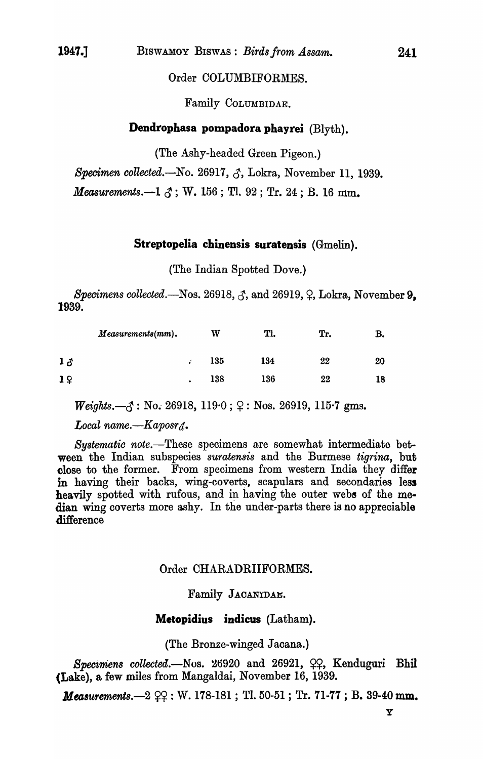# Order COLUMBIFORMES.

Family COLUMBIDAE.

# Dendrophasa pompadora phayrei (Blyth).

(The Ashy-headed Green Pigeon.)

*Specimen collected.*-No. 26917,  $\delta$ , Lokra, November 11, 1939.

*Measurements.*-1  $\delta$ ; W. 156; Tl. 92; Tr. 24; B. 16 mm.

# Streptopelia chinensis suratensis (Gmelin).

(The Indian Spotted Dove.)

*Specimens collected.*—Nos.  $26918, \zeta$ , and  $26919, \zeta$ , Lokra, November 9. 1939.

|           | $Measurements(mm).$ |   | W   | Tl. | Tr. | В. |
|-----------|---------------------|---|-----|-----|-----|----|
| $1\delta$ |                     |   | 135 | 134 | 22  | 20 |
| 19        |                     | ٠ | 138 | 136 | 22  | 18 |

 $\textit{Weights.} \text{--} \textit{\&} 3 : \text{No. } 26918, 119 \cdot 0; \text{ } \text{Q} : \text{Nos. } 26919, 115 \cdot 7 \text{ gms.}$ 

*Local name.* $-Kaposr_{d}$ .

Systematic note.-These specimens are somewhat intermediate between the Indian subspecies *suratensis* and the Burmese *tigrina,* but close to the former. From specimens from western India they differ in having their backs, wing-coverts, scapulars and secondaries less heavily spotted with rufous, and in having the outer webs of the median wing coverts more ashy. In the under-parts there is no appreciable difference

# Order CHARADRIIFORMES.

# Family JACANYDAE.

### Metopidius indicus (Latham).

(The Bronze-winged Jacana.)

*Specimens collected.*-Nos. 26920 and 26921,  $\varphi$ , Kenduguri Bhil (Lake), a few miles from Mangaldai, November 16, 1939.

*Measurements.* $-2 \, \Omega$ : W. 178-181; Tl. 50-51; Tr. 71-77; B. 39-40 mm.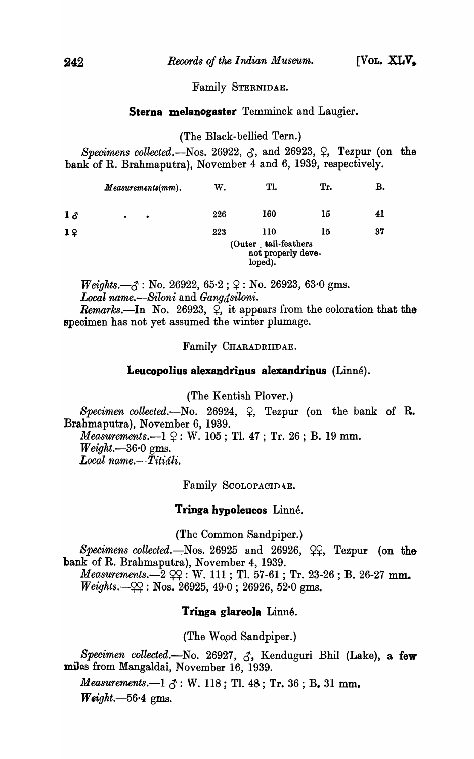### Family STERNIDAE.

## Sterna melanogaster Temminck and Laugier.

#### (The Black-bellied Tern.)

*Specimens collected.*—Nos. 26922,  $\zeta$ , and 26923,  $\zeta$ , Tezpur (on the bank of R. Brahmaputra), November 4 and 6, 1939, respectively.

|           | $Measurements(mm).$    | W.  | Tl.                                                   | Tr. | В. |
|-----------|------------------------|-----|-------------------------------------------------------|-----|----|
| $1\delta$ | $\bullet$<br>$\bullet$ | 226 | <b>160</b>                                            | 15  | 41 |
| 19        |                        | 223 | 110                                                   | 15  | 37 |
|           |                        |     | (Outer tail-feathers<br>not properly deve-<br>loped). |     |    |

 $Weights. -3 : No. 26922, 65.2 ; \varphi : No. 26923, 63.0 gms.$ *Local name.-Siloni* and *Gangasiloni. Remarks.*—In No. 26923,  $\varphi$ , it appears from the coloration that the specimen has not yet assumed the winter plumage.

Family CHARADRIIDAE.

#### Leucopolius alexandrinus alexandrinus (Linné).

(The Kentish Plover.)

*Specimen collected.*—No. 26924,  $\varphi$ , Tezpur (on the bank of R. Brahmaputra), November 6, 1939. *Measurements.*--1  $9 : W. 105$ ; Tl. 47; Tr. 26; B. 19 mm. *Weight.-36·0* gms. *Local name.--Titiali.* 

Family SCOLOPACIDAE.

#### Tringa hypoleucos Linné.

(The Common Sandpiper.)

*Specimens collected.*-Nos. 26925 and 26926,  $\varphi$ , Tezpur (on the bank of R. Brahmaputra), November 4, 1939.

*Measurements.* $-2 \, \text{S}$ ? : W. 111 ; Tl. 57-61 ; Tr. 23-26 ; B. 26-27 mm.  $Weights. -Q2 : Nos. 26925, 49.0 ; 26926, 52.0 gms.$ 

# Tringa glareola Linné.

(The Wopd Sandpiper.)

Specimen collected.-No. 26927,  $\zeta$ , Kenduguri Bhil (Lake), a few miles from Mangaldai, November 16, 1939.

*Measurements.* $-1 \text{ } \mathcal{S}$ : W. 118; Tl. 48; Tr. 36; B. 31 mm. *Weight.-56·4* gms.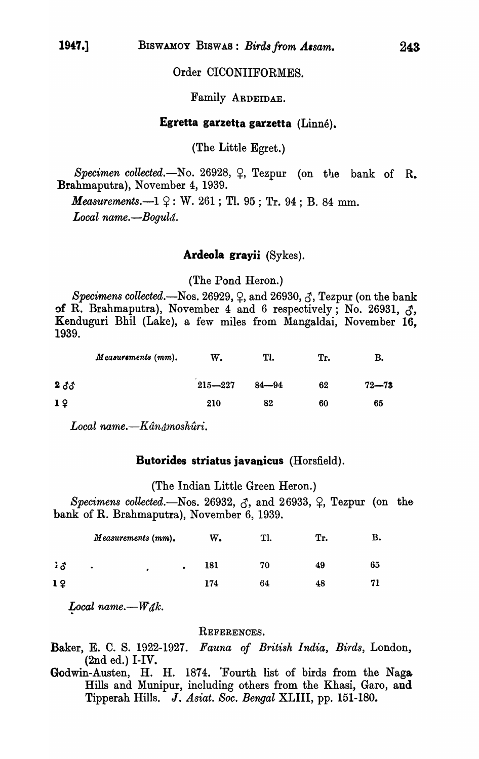# Order CICONIIFORMES.

# Family ARDEIDAE.

# **Egretta garzetta garzetta** (Linne).

(The Little Egret.)

*Specimen collected.*-No. 26928,  $\varphi$ , Tezpur (on the bank of R. Brahmaputra), November 4, 1939.

*Measurements.* $-1$   $9$ : W. 261; Tl. 95; Tr. 94; B. 84 mm. *Local name.-Bogula.* 

#### **Ardeola grayii** (Sykes).

(The Pond Heron.)

*Specimens collected.*—Nos. 26929,  $\varphi$ , and 26930,  $\varphi$ , Tezpur (on the bank of R. Brahmaputra), November 4 and 6 respectively; No. 26931,  $\zeta$ , Kenduguri Bhil (Lake), a few miles from Mangaldai, November 16, 1939.

|                 | Measurements (mm). | W.          | Tl.       | Tr. | в.        |  |
|-----------------|--------------------|-------------|-----------|-----|-----------|--|
| $2\delta\delta$ |                    | $215 - 227$ | $84 - 94$ | 62  | $72 - 73$ |  |
| 1 <sup>2</sup>  |                    | 210         | 82        | 60  | 65        |  |

Local name.—Kân<sub>â</sub>moshûri.

### **Butorides striatus iavanicus** (Horsfield).

(The Indian Little Green Heron.)

*Specimens collected.*—Nos. 26932,  $\zeta$ , and 26933,  $\zeta$ , Tezpur (on the bank of R. Brahmaputra), November 6, 1939.

|                     | Measurements (mm). |  |           | w.  |    | Tr. | в. |
|---------------------|--------------------|--|-----------|-----|----|-----|----|
| $\mathbf{1} \delta$ | $\bullet$<br>٠     |  | $\bullet$ | 181 | 70 | 49  | 65 |
| 1 <sup>2</sup>      |                    |  |           | 174 | 64 | 48  |    |

*Local name.*— $W_{\hat{a}}$ *k.* 

### REFERENCES.

Baker, E. C. S. 1922-1927. *Fauna of British India, Birds,* London, (2nd ed.) I-IV.

Godwin-Austen, H. H. 1874. 'Fourth list of birds from the Nag& Hills and Munipur, including others from the Khasi, Garo, and Tipperah Hills. J. *Asiat. Soc. Bengal* XLIII, pp. 151-180.